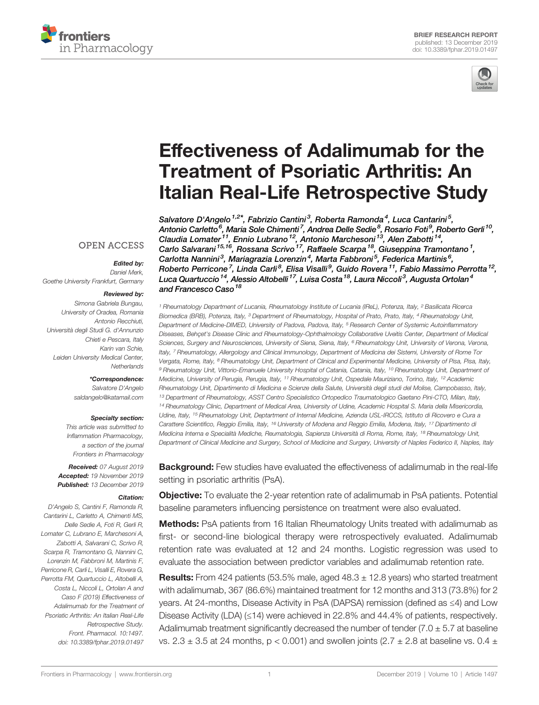



# [Effectiveness of Adalimumab for the](https://www.frontiersin.org/article/10.3389/fphar.2019.01497/full) [Treatment of Psoriatic Arthritis: An](https://www.frontiersin.org/article/10.3389/fphar.2019.01497/full) [Italian Real-Life Retrospective Study](https://www.frontiersin.org/article/10.3389/fphar.2019.01497/full)

[Salvatore D'Angelo](https://loop.frontiersin.org/people/787028) <sup>1,2\*</sup>, Fabrizio Cantini<sup>3</sup>, Roberta Ramonda<sup>4</sup>, [Luca Cantarini](https://loop.frontiersin.org/people/80476)<sup>5</sup>, Antonio Carletto<sup>6</sup>, Maria Sole Chimenti<sup>7</sup>, Andrea Delle Sedie<sup>8</sup>, Rosario Foti<sup>9</sup>, [Roberto Gerli](https://loop.frontiersin.org/people/417671)<sup>10</sup>, Claudia Lomater<sup>11</sup>, [Ennio Lubrano](https://loop.frontiersin.org/people/81178)<sup>12</sup>, Antonio Marchesoni<sup>13</sup>, [Alen Zabotti](https://loop.frontiersin.org/people/595959)<sup>14</sup>, Carlo Salvarani <sup>15,16</sup>, [Rossana Scrivo](https://loop.frontiersin.org/people/346612) <sup>17</sup>, Raffaele Scarpa <sup>18</sup>, Giuseppina Tramontano <sup>1</sup>, Carlotta Nannini<sup>3</sup>, [Mariagrazia Lorenzin](https://loop.frontiersin.org/people/738412)<sup>4</sup>, Marta Fabbroni<sup>5</sup>, [Federica Martinis](https://loop.frontiersin.org/people/824342)<sup>6</sup>, Roberto Perricone<sup>7</sup>, Linda Carli<sup>8</sup>, Elisa Visalli<sup>9</sup>, Guido Rovera<sup>11</sup>, Fabio Massimo Perrotta<sup>12</sup>, [Luca Quartuccio](https://loop.frontiersin.org/people/560244) $^{\mathit{14}}$ , Alessio Altobelli $^{\mathit{17}}$ , Luisa Costa $^{\mathit{18}}$ , Laura Niccoli $^{\mathit{3}}$ , Augusta Ortolan $^{\mathit{4}}$ and [Francesco Caso](https://loop.frontiersin.org/people/545403)<sup>18</sup>

<sup>1</sup> Rheumatology Department of Lucania, Rheumatology Institute of Lucania (IReL), Potenza, Italy, <sup>2</sup> Basilicata Ricerca Biomedica (BRB), Potenza, Italy, <sup>3</sup> Department of Rheumatology, Hospital of Prato, Prato, Italy, <sup>4</sup> Rheumatology Unit, Department of Medicine-DIMED, University of Padova, Padova, Italy, <sup>5</sup> Research Center of Systemic Autoinflammatory Diseases, Behçet's Disease Clinic and Rheumatology-Ophthalmology Collaborative Uveitis Center, Department of Medical Sciences, Surgery and Neurosciences, University of Siena, Siena, Italy, <sup>6</sup> Rheumatology Unit, University of Verona, Verona, Italy, <sup>7</sup> Rheumatology, Allergology and Clinical Immunology, Department of Medicina dei Sistemi, University of Rome Tor Vergata, Rome, Italy, <sup>8</sup> Rheumatology Unit, Department of Clinical and Experimental Medicine, University of Pisa, Pisa, Italy, 9 Rheumatology Unit, Vittorio-Emanuele University Hospital of Catania, Catania, Italy, <sup>10</sup> Rheumatology Unit, Department of Medicine, University of Perugia, Perugia, Italy, <sup>11</sup> Rheumatology Unit, Ospedale Mauriziano, Torino, Italy, <sup>12</sup> Academic Rheumatology Unit, Dipartimento di Medicina e Scienze della Salute, Università degli studi del Molise, Campobasso, Italy, <sup>13</sup> Department of Rheumatology, ASST Centro Specialistico Ortopedico Traumatologico Gaetano Pini-CTO, Milan, Italy, <sup>14</sup> Rheumatology Clinic, Department of Medical Area, University of Udine, Academic Hospital S. Maria della Misericordia, Udine, Italy, <sup>15</sup> Rheumatology Unit, Deptartment of Internal Medicine, Azienda USL-IRCCS, Istituto di Ricovero e Cura a Carattere Scientifico, Reggio Emilia, Italy, <sup>16</sup> University of Modena and Reggio Emilia, Modena, Italy, <sup>17</sup> Dipartimento di Medicina Interna e Specialità Mediche, Reumatologia, Sapienza Università di Roma, Rome, Italy, <sup>18</sup> Rheumatology Unit, Department of Clinical Medicine and Surgery, School of Medicine and Surgery, University of Naples Federico II, Naples, Italy

**Background:** Few studies have evaluated the effectiveness of adalimumab in the real-life setting in psoriatic arthritis (PsA).

**Objective:** To evaluate the 2-year retention rate of adalimumab in PsA patients. Potential baseline parameters influencing persistence on treatment were also evaluated.

Methods: PsA patients from 16 Italian Rheumatology Units treated with adalimumab as first- or second-line biological therapy were retrospectively evaluated. Adalimumab retention rate was evaluated at 12 and 24 months. Logistic regression was used to evaluate the association between predictor variables and adalimumab retention rate.

**Results:** From 424 patients (53.5% male, aged  $48.3 \pm 12.8$  years) who started treatment with adalimumab, 367 (86.6%) maintained treatment for 12 months and 313 (73.8%) for 2 years. At 24-months, Disease Activity in PsA (DAPSA) remission (defined as ≤4) and Low Disease Activity (LDA) (≤14) were achieved in 22.8% and 44.4% of patients, respectively. Adalimumab treatment significantly decreased the number of tender (7.0  $\pm$  5.7 at baseline vs.  $2.3 \pm 3.5$  at 24 months, p < 0.001) and swollen joints (2.7  $\pm$  2.8 at baseline vs. 0.4  $\pm$ 

#### **OPEN ACCESS**

#### Edited by:

Daniel Merk, Goethe University Frankfurt, Germany

#### Reviewed by:

Simona Gabriela Bungau, University of Oradea, Romania Antonio Recchiuti, Università degli Studi G. d'Annunzio Chieti e Pescara, Italy Karin van Schie, Leiden University Medical Center, **Netherlands** 

#### \*Correspondence:

Salvatore D'Angelo [saldangelo@katamail.com](mailto:saldangelo@katamail.com)

#### Specialty section:

This article was submitted to Inflammation Pharmacology, a section of the journal Frontiers in Pharmacology

Received: 07 August 2019 Accepted: 19 November 2019 Published: 13 December 2019

#### Citation:

D'Angelo S, Cantini F, Ramonda R, Cantarini L, Carletto A, Chimenti MS, Delle Sedie A, Foti R, Gerli R, Lomater C, Lubrano E, Marchesoni A, Zabotti A, Salvarani C, Scrivo R, Scarpa R, Tramontano G, Nannini C, Lorenzin M, Fabbroni M, Martinis F, Perricone R, Carli L, Visalli E, Rovera G, Perrotta FM, Quartuccio L, Altobelli A, Costa L, Niccoli L, Ortolan A and Caso F (2019) Effectiveness of Adalimumab for the Treatment of Psoriatic Arthritis: An Italian Real-Life Retrospective Study. Front. Pharmacol. 10:1497. [doi: 10.3389/fphar.2019.01497](https://doi.org/10.3389/fphar.2019.01497)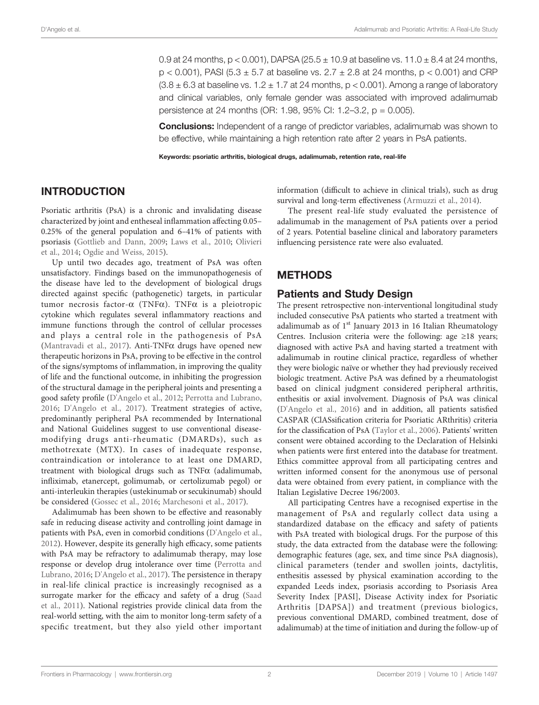0.9 at 24 months,  $p < 0.001$ ), DAPSA (25.5  $\pm$  10.9 at baseline vs. 11.0  $\pm$  8.4 at 24 months,  $p < 0.001$ ), PASI (5.3  $\pm$  5.7 at baseline vs.  $2.7 \pm 2.8$  at 24 months,  $p < 0.001$ ) and CRP  $(3.8 \pm 6.3$  at baseline vs.  $1.2 \pm 1.7$  at 24 months,  $p < 0.001$ ). Among a range of laboratory and clinical variables, only female gender was associated with improved adalimumab persistence at 24 months (OR: 1.98, 95% CI: 1.2–3.2, p = 0.005).

**Conclusions:** Independent of a range of predictor variables, adalimumab was shown to be effective, while maintaining a high retention rate after 2 years in PsA patients.

Keywords: psoriatic arthritis, biological drugs, adalimumab, retention rate, real-life

# INTRODUCTION

Psoriatic arthritis (PsA) is a chronic and invalidating disease characterized by joint and entheseal inflammation affecting 0.05– 0.25% of the general population and 6–41% of patients with psoriasis [\(Gottlieb and Dann, 2009;](#page-6-0) [Laws et al., 2010;](#page-6-0) [Olivieri](#page-6-0) [et al., 2014;](#page-6-0) [Ogdie and Weiss, 2015](#page-6-0)).

Up until two decades ago, treatment of PsA was often unsatisfactory. Findings based on the immunopathogenesis of the disease have led to the development of biological drugs directed against specific (pathogenetic) targets, in particular tumor necrosis factor- $\alpha$  (TNF $\alpha$ ). TNF $\alpha$  is a pleiotropic cytokine which regulates several inflammatory reactions and immune functions through the control of cellular processes and plays a central role in the pathogenesis of PsA ([Mantravadi et al., 2017](#page-6-0)). Anti-TNF $\alpha$  drugs have opened new therapeutic horizons in PsA, proving to be effective in the control of the signs/symptoms of inflammation, in improving the quality of life and the functional outcome, in inhibiting the progression of the structural damage in the peripheral joints and presenting a good safety profile [\(D'Angelo et al., 2012](#page-6-0); [Perrotta and Lubrano,](#page-6-0) [2016;](#page-6-0) [D'Angelo et al., 2017](#page-6-0)). Treatment strategies of active, predominantly peripheral PsA recommended by International and National Guidelines suggest to use conventional diseasemodifying drugs anti-rheumatic (DMARDs), such as methotrexate (MTX). In cases of inadequate response, contraindication or intolerance to at least one DMARD, treatment with biological drugs such as  $TNF\alpha$  (adalimumab, infliximab, etanercept, golimumab, or certolizumab pegol) or anti-interleukin therapies (ustekinumab or secukinumab) should be considered [\(Gossec et al., 2016;](#page-6-0) [Marchesoni et al., 2017\)](#page-6-0).

Adalimumab has been shown to be effective and reasonably safe in reducing disease activity and controlling joint damage in patients with PsA, even in comorbid conditions [\(D'Angelo et al.,](#page-6-0) [2012\)](#page-6-0). However, despite its generally high efficacy, some patients with PsA may be refractory to adalimumab therapy, may lose response or develop drug intolerance over time [\(Perrotta and](#page-6-0) [Lubrano, 2016](#page-6-0); D'Angelo et al., 2017). The persistence in therapy in real-life clinical practice is increasingly recognised as a surrogate marker for the efficacy and safety of a drug [\(Saad](#page-6-0) [et al., 2011](#page-6-0)). National registries provide clinical data from the real-world setting, with the aim to monitor long-term safety of a specific treatment, but they also yield other important

information (difficult to achieve in clinical trials), such as drug survival and long-term effectiveness [\(Armuzzi et al., 2014\)](#page-6-0).

The present real-life study evaluated the persistence of adalimumab in the management of PsA patients over a period of 2 years. Potential baseline clinical and laboratory parameters influencing persistence rate were also evaluated.

### METHODS

#### Patients and Study Design

The present retrospective non-interventional longitudinal study included consecutive PsA patients who started a treatment with adalimumab as of  $1<sup>st</sup>$  January 2013 in 16 Italian Rheumatology Centres. Inclusion criteria were the following: age ≥18 years; diagnosed with active PsA and having started a treatment with adalimumab in routine clinical practice, regardless of whether they were biologic naïve or whether they had previously received biologic treatment. Active PsA was defined by a rheumatologist based on clinical judgment considered peripheral arthritis, enthesitis or axial involvement. Diagnosis of PsA was clinical [\(D'Angelo et al., 2016](#page-6-0)) and in addition, all patients satisfied CASPAR (ClASsification criteria for Psoriatic ARthritis) criteria for the classification of PsA [\(Taylor et al., 2006](#page-6-0)). Patients' written consent were obtained according to the Declaration of Helsinki when patients were first entered into the database for treatment. Ethics committee approval from all participating centres and written informed consent for the anonymous use of personal data were obtained from every patient, in compliance with the Italian Legislative Decree 196/2003.

All participating Centres have a recognised expertise in the management of PsA and regularly collect data using a standardized database on the efficacy and safety of patients with PsA treated with biological drugs. For the purpose of this study, the data extracted from the database were the following: demographic features (age, sex, and time since PsA diagnosis), clinical parameters (tender and swollen joints, dactylitis, enthesitis assessed by physical examination according to the expanded Leeds index, psoriasis according to Psoriasis Area Severity Index [PASI], Disease Activity index for Psoriatic Arthritis [DAPSA]) and treatment (previous biologics, previous conventional DMARD, combined treatment, dose of adalimumab) at the time of initiation and during the follow-up of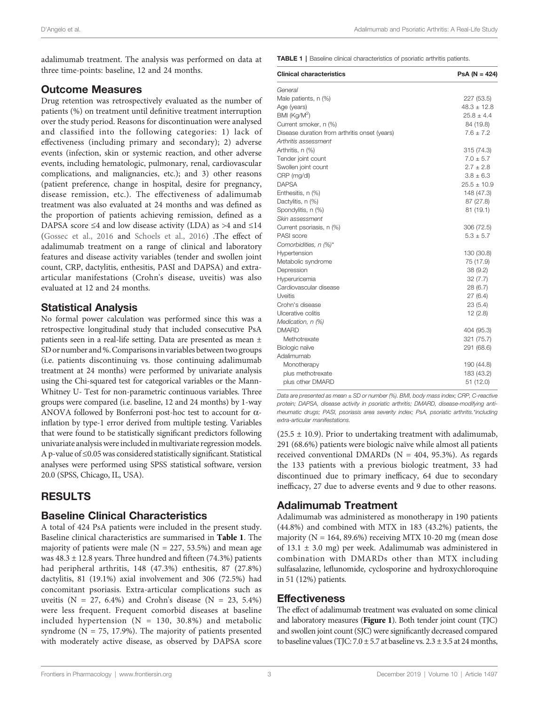adalimumab treatment. The analysis was performed on data at three time-points: baseline, 12 and 24 months.

#### Outcome Measures

Drug retention was retrospectively evaluated as the number of patients (%) on treatment until definitive treatment interruption over the study period. Reasons for discontinuation were analysed and classified into the following categories: 1) lack of effectiveness (including primary and secondary); 2) adverse events (infection, skin or systemic reaction, and other adverse events, including hematologic, pulmonary, renal, cardiovascular complications, and malignancies, etc.); and 3) other reasons (patient preference, change in hospital, desire for pregnancy, disease remission, etc.). The effectiveness of adalimumab treatment was also evaluated at 24 months and was defined as the proportion of patients achieving remission, defined as a DAPSA score ≤4 and low disease activity (LDA) as >4 and ≤14 ([Gossec et al., 2016](#page-6-0) and [Schoels et al., 2016](#page-6-0)) .The effect of adalimumab treatment on a range of clinical and laboratory features and disease activity variables (tender and swollen joint count, CRP, dactylitis, enthesitis, PASI and DAPSA) and extraarticular manifestations (Crohn's disease, uveitis) was also evaluated at 12 and 24 months.

### Statistical Analysis

No formal power calculation was performed since this was a retrospective longitudinal study that included consecutive PsA patients seen in a real-life setting. Data are presented as mean ± SD or number and %.Comparisons in variables between two groups (i.e. patients discontinuing vs. those continuing adalimumab treatment at 24 months) were performed by univariate analysis using the Chi-squared test for categorical variables or the Mann-Whitney U- Test for non-parametric continuous variables. Three groups were compared (i.e. baseline, 12 and 24 months) by 1-way ANOVA followed by Bonferroni post-hoc test to account for  $\alpha$ inflation by type-1 error derived from multiple testing. Variables that were found to be statistically significant predictors following univariate analysis were included in multivariate regression models. A p-value of ≤0.05 was considered statistically significant. Statistical analyses were performed using SPSS statistical software, version 20.0 (SPSS, Chicago, IL, USA).

# RESULTS

### Baseline Clinical Characteristics

A total of 424 PsA patients were included in the present study. Baseline clinical characteristics are summarised in Table 1. The majority of patients were male ( $N = 227, 53.5%$ ) and mean age was  $48.3 \pm 12.8$  years. Three hundred and fifteen (74.3%) patients had peripheral arthritis, 148 (47.3%) enthesitis, 87 (27.8%) dactylitis, 81 (19.1%) axial involvement and 306 (72.5%) had concomitant psoriasis. Extra-articular complications such as uveitis ( $N = 27, 6.4\%$ ) and Crohn's disease ( $N = 23, 5.4\%$ ) were less frequent. Frequent comorbid diseases at baseline included hypertension  $(N = 130, 30.8%)$  and metabolic syndrome ( $N = 75$ , 17.9%). The majority of patients presented with moderately active disease, as observed by DAPSA score TABLE 1 | Baseline clinical characteristics of psoriatic arthritis patients.

| <b>Clinical characteristics</b>               | $PsA (N = 424)$ |
|-----------------------------------------------|-----------------|
| General                                       |                 |
| Male patients, n (%)                          | 227 (53.5)      |
| Age (years)                                   | $48.3 \pm 12.8$ |
| BMI (Kq/M <sup>2</sup> )                      | $25.8 \pm 4.4$  |
| Current smoker, n (%)                         | 84 (19.8)       |
| Disease duration from arthritis onset (years) | $7.6 \pm 7.2$   |
| Arthritis assessment                          |                 |
| Arthritis, n (%)                              | 315 (74.3)      |
| Tender joint count                            | $7.0 \pm 5.7$   |
| Swollen joint count                           | $2.7 \pm 2.8$   |
| CRP (mg/dl)                                   | $3.8 \pm 6.3$   |
| <b>DAPSA</b>                                  | $25.5 \pm 10.9$ |
| Enthesitis, n (%)                             | 148 (47.3)      |
| Dactylitis, n (%)                             | 87 (27.8)       |
| Spondylitis, n (%)                            | 81(19.1)        |
| Skin assessment                               |                 |
| Current psoriasis, n (%)                      | 306 (72.5)      |
| PASI score                                    | $5.3 \pm 5.7$   |
| Comorbidities, n (%)*                         |                 |
| Hypertension                                  | 130 (30.8)      |
| Metabolic syndrome                            | 75 (17.9)       |
| Depression                                    | 38(9.2)         |
| Hyperuricemia                                 | 32(7.7)         |
| Cardiovascular disease                        | 28 (6.7)        |
| <b>Uveitis</b>                                | 27(6.4)         |
| Crohn's disease                               | 23(5.4)         |
| Ulcerative colitis                            | 12(2.8)         |
| Medication, n (%)                             |                 |
| <b>DMARD</b>                                  | 404 (95.3)      |
| Methotrexate                                  | 321 (75.7)      |
| Biologic naïve                                | 291 (68.6)      |
| Adalimumab                                    |                 |
| Monotherapy                                   | 190 (44.8)      |
| plus methotrexate                             | 183 (43.2)      |
| plus other DMARD                              | 51 (12.0)       |

Data are presented as mean ± SD or number (%). BMI, body mass index; CRP, C-reactive protein; DAPSA, disease activity in psoriatic arthritis; DMARD, disease-modifying antirheumatic drugs; PASI, psoriasis area severity index; PsA, psoriatic arthritis.\*including extra-articular manifestations.

 $(25.5 \pm 10.9)$ . Prior to undertaking treatment with adalimumab, 291 (68.6%) patients were biologic naïve while almost all patients received conventional DMARDs ( $N = 404$ , 95.3%). As regards the 133 patients with a previous biologic treatment, 33 had discontinued due to primary inefficacy, 64 due to secondary inefficacy, 27 due to adverse events and 9 due to other reasons.

# Adalimumab Treatment

Adalimumab was administered as monotherapy in 190 patients (44.8%) and combined with MTX in 183 (43.2%) patients, the majority ( $N = 164, 89.6\%$ ) receiving MTX 10-20 mg (mean dose of 13.1  $\pm$  3.0 mg) per week. Adalimumab was administered in combination with DMARDs other than MTX including sulfasalazine, leflunomide, cyclosporine and hydroxychloroquine in 51 (12%) patients.

#### Effectiveness

The effect of adalimumab treatment was evaluated on some clinical and laboratory measures ([Figure 1](#page-3-0)). Both tender joint count (TJC) and swollen joint count (SJC) were significantly decreased compared to baseline values (TJC:  $7.0 \pm 5.7$  at baseline vs.  $2.3 \pm 3.5$  at 24 months,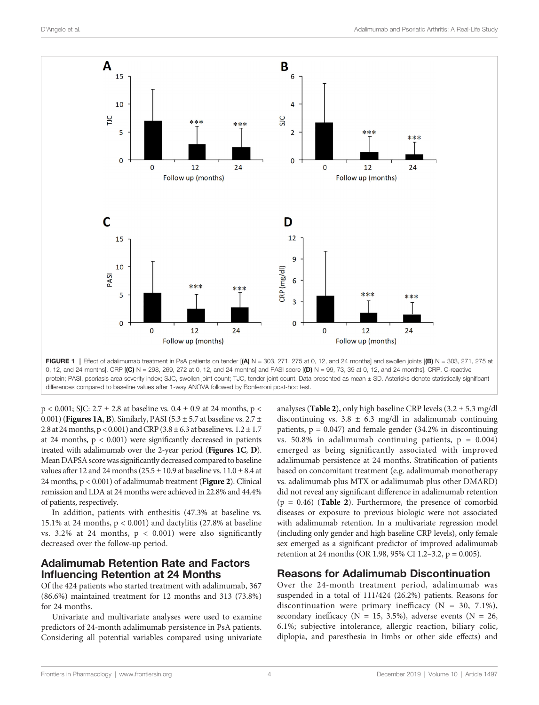<span id="page-3-0"></span>

FIGURE 1 | Effect of adalimumab treatment in PsA patients on tender  $[(A) N = 303, 271, 275$  at 0, 12, and 24 months] and swollen joints  $[(B) N = 303, 271, 275$  at 0, 12, and 24 months], CRP [(C) N = 298, 269, 272 at 0, 12, and 24 months] and PASI score [(D) N = 99, 73, 39 at 0, 12, and 24 months]. CRP, C-reactive protein; PASI, psoriasis area severity index; SJC, swollen joint count; TJC, tender joint count. Data presented as mean ± SD. Asterisks denote statistically significant differences compared to baseline values after 1-way ANOVA followed by Bonferroni post-hoc test.

 $p < 0.001$ ; SJC: 2.7  $\pm$  2.8 at baseline vs. 0.4  $\pm$  0.9 at 24 months, p < 0.001) (Figures 1A, B). Similarly, PASI (5.3  $\pm$  5.7 at baseline vs. 2.7  $\pm$ 2.8 at 24 months,  $p < 0.001$ ) and CRP (3.8  $\pm$  6.3 at baseline vs.  $1.2 \pm 1.7$ at 24 months,  $p < 0.001$ ) were significantly decreased in patients treated with adalimumab over the 2-year period (Figures 1C, D). Mean DAPSA scorewas significantly decreased compared to baseline values after 12 and 24 months ( $25.5 \pm 10.9$  at baseline vs.  $11.0 \pm 8.4$  at 24 months,  $p < 0.001$ ) of adalimumab treatment (**[Figure 2](#page-4-0)**). Clinical remission and LDA at 24 months were achieved in 22.8% and 44.4% of patients, respectively.

In addition, patients with enthesitis (47.3% at baseline vs. 15.1% at 24 months, p < 0.001) and dactylitis (27.8% at baseline vs. 3.2% at 24 months,  $p < 0.001$ ) were also significantly decreased over the follow-up period.

### Adalimumab Retention Rate and Factors Influencing Retention at 24 Months

Of the 424 patients who started treatment with adalimumab, 367 (86.6%) maintained treatment for 12 months and 313 (73.8%) for 24 months.

Univariate and multivariate analyses were used to examine predictors of 24-month adalimumab persistence in PsA patients. Considering all potential variables compared using univariate analyses (**[Table 2](#page-5-0)**), only high baseline CRP levels  $(3.2 \pm 5.3 \text{ mg/d})$ discontinuing vs.  $3.8 \pm 6.3$  mg/dl in adalimumab continuing patients,  $p = 0.047$ ) and female gender (34.2% in discontinuing vs. 50.8% in adalimumab continuing patients,  $p = 0.004$ ) emerged as being significantly associated with improved adalimumab persistence at 24 months. Stratification of patients based on concomitant treatment (e.g. adalimumab monotherapy vs. adalimumab plus MTX or adalimumab plus other DMARD) did not reveal any significant difference in adalimumab retention  $(p = 0.46)$  ([Table 2](#page-5-0)). Furthermore, the presence of comorbid diseases or exposure to previous biologic were not associated with adalimumab retention. In a multivariate regression model (including only gender and high baseline CRP levels), only female sex emerged as a significant predictor of improved adalimumab retention at 24 months (OR 1.98, 95% CI 1.2–3.2, p = 0.005).

#### Reasons for Adalimumab Discontinuation

Over the 24-month treatment period, adalimumab was suspended in a total of 111/424 (26.2%) patients. Reasons for discontinuation were primary inefficacy  $(N = 30, 7.1\%)$ , secondary inefficacy ( $N = 15, 3.5\%$ ), adverse events ( $N = 26$ , 6.1%; subjective intolerance, allergic reaction, biliary colic, diplopia, and paresthesia in limbs or other side effects) and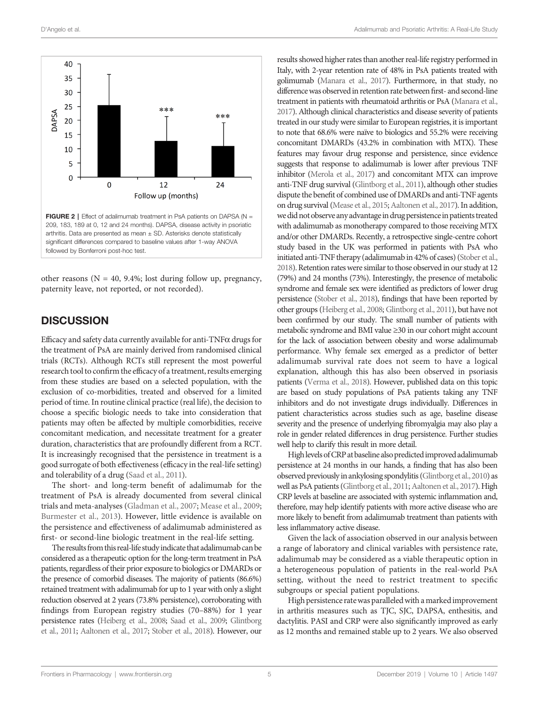<span id="page-4-0"></span>

other reasons ( $N = 40$ , 9.4%; lost during follow up, pregnancy, paternity leave, not reported, or not recorded).

# **DISCUSSION**

Efficacy and safety data currently available for anti-TNF $\alpha$  drugs for the treatment of PsA are mainly derived from randomised clinical trials (RCTs). Although RCTs still represent the most powerful research tool to confirm the efficacy of a treatment, results emerging from these studies are based on a selected population, with the exclusion of co-morbidities, treated and observed for a limited period of time. In routine clinical practice (real life), the decision to choose a specific biologic needs to take into consideration that patients may often be affected by multiple comorbidities, receive concomitant medication, and necessitate treatment for a greater duration, characteristics that are profoundly different from a RCT. It is increasingly recognised that the persistence in treatment is a good surrogate of both effectiveness (efficacy in the real-life setting) and tolerability of a drug [\(Saad et al., 2011](#page-6-0)).

The short- and long-term benefit of adalimumab for the treatment of PsA is already documented from several clinical trials and meta-analyses ([Gladman et al., 2007](#page-6-0); [Mease et al., 2009](#page-6-0); [Burmester et al., 2013](#page-6-0)). However, little evidence is available on the persistence and effectiveness of adalimumab administered as first- or second-line biologic treatment in the real-life setting.

The results from this real-life study indicate that adalimumab can be considered as a therapeutic option for the long-term treatment in PsA patients, regardless of their prior exposure to biologics or DMARDs or the presence of comorbid diseases. The majority of patients (86.6%) retained treatment with adalimumab for up to 1 year with only a slight reduction observed at 2 years (73.8% persistence), corroborating with findings from European registry studies (70–88%) for 1 year persistence rates ([Heiberg et al., 2008;](#page-6-0) [Saad et al., 2009](#page-6-0); [Glintborg](#page-6-0) [et al., 2011](#page-6-0); [Aaltonen et al., 2017](#page-6-0); [Stober et al., 2018](#page-6-0)). However, our results showed higher rates than another real-life registry performed in Italy, with 2-year retention rate of 48% in PsA patients treated with golimumab [\(Manara et al., 2017](#page-6-0)). Furthermore, in that study, no difference was observed in retention rate between first- and second-line treatment in patients with rheumatoid arthritis or PsA [\(Manara et al.,](#page-6-0) [2017](#page-6-0)). Although clinical characteristics and disease severity of patients treated in our study were similar to European registries, it is important to note that 68.6% were naïve to biologics and 55.2% were receiving concomitant DMARDs (43.2% in combination with MTX). These features may favour drug response and persistence, since evidence suggests that response to adalimumab is lower after previous TNF inhibitor [\(Merola et al., 2017](#page-6-0)) and concomitant MTX can improve anti-TNF drug survival [\(Glintborg et al., 2011](#page-6-0)), although other studies dispute the benefit of combined use of DMARDs and anti-TNF agents on drug survival ([Mease et al., 2015](#page-6-0); [Aaltonen et al., 2017](#page-6-0)). In addition, we did not observe any advantage in drug persistence in patients treated with adalimumab as monotherapy compared to those receiving MTX and/or other DMARDs. Recently, a retrospective single-centre cohort study based in the UK was performed in patients with PsA who initiated anti-TNF therapy (adalimumab in 42% of cases) [\(Stober et al.,](#page-6-0) [2018](#page-6-0)). Retention rates were similar to those observed in our study at 12 (79%) and 24 months (73%). Interestingly, the presence of metabolic syndrome and female sex were identified as predictors of lower drug persistence [\(Stober et al., 2018](#page-6-0)), findings that have been reported by other groups [\(Heiberg et al., 2008](#page-6-0); [Glintborg et al., 2011](#page-6-0)), but have not been confirmed by our study. The small number of patients with metabolic syndrome and BMI value ≥30 in our cohort might account for the lack of association between obesity and worse adalimumab performance. Why female sex emerged as a predictor of better adalimumab survival rate does not seem to have a logical explanation, although this has also been observed in psoriasis patients [\(Verma et al., 2018](#page-6-0)). However, published data on this topic are based on study populations of PsA patients taking any TNF inhibitors and do not investigate drugs individually. Differences in patient characteristics across studies such as age, baseline disease severity and the presence of underlying fibromyalgia may also play a role in gender related differences in drug persistence. Further studies well help to clarify this result in more detail.

High levels of CRP at baseline also predicted improved adalimumab persistence at 24 months in our hands, a finding that has also been observed previouslyin ankylosing spondylitis [\(Glintborg et al., 2010](#page-6-0)) as well as PsA patients [\(Glintborg et al., 2011](#page-6-0); [Aaltonen et al., 2017](#page-6-0)). High CRP levels at baseline are associated with systemic inflammation and, therefore, may help identify patients with more active disease who are more likely to benefit from adalimumab treatment than patients with less inflammatory active disease.

Given the lack of association observed in our analysis between a range of laboratory and clinical variables with persistence rate, adalimumab may be considered as a viable therapeutic option in a heterogeneous population of patients in the real-world PsA setting, without the need to restrict treatment to specific subgroups or special patient populations.

High persistence rate was paralleled with a marked improvement in arthritis measures such as TJC, SJC, DAPSA, enthesitis, and dactylitis. PASI and CRP were also significantly improved as early as 12 months and remained stable up to 2 years. We also observed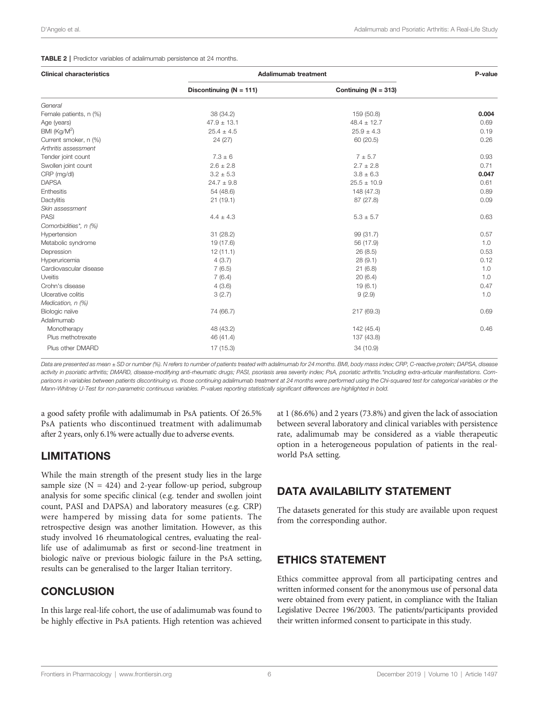#### <span id="page-5-0"></span>TABLE 2 | Predictor variables of adalimumab persistence at 24 months.

| <b>Clinical characteristics</b> | <b>Adalimumab treatment</b> |                          | P-value |
|---------------------------------|-----------------------------|--------------------------|---------|
|                                 | Discontinuing ( $N = 111$ ) | Continuing ( $N = 313$ ) |         |
| General                         |                             |                          |         |
| Female patients, n (%)          | 38 (34.2)                   | 159 (50.8)               | 0.004   |
| Age (years)                     | $47.9 \pm 13.1$             | $48.4 \pm 12.7$          | 0.69    |
| BMI (Kg/M <sup>2</sup> )        | $25.4 \pm 4.5$              | $25.9 \pm 4.3$           | 0.19    |
| Current smoker, n (%)           | 24 (27)                     | 60 (20.5)                | 0.26    |
| Arthritis assessment            |                             |                          |         |
| Tender joint count              | $7.3 \pm 6$                 | $7 + 5.7$                | 0.93    |
| Swollen joint count             | $2.6 \pm 2.8$               | $2.7 \pm 2.8$            | 0.71    |
| CRP (mg/dl)                     | $3.2 \pm 5.3$               | $3.8 \pm 6.3$            | 0.047   |
| <b>DAPSA</b>                    | $24.7 \pm 9.8$              | $25.5 \pm 10.9$          | 0.61    |
| Enthesitis                      | 54 (48.6)                   | 148 (47.3)               | 0.89    |
| Dactylitis                      | 21(19.1)                    | 87 (27.8)                | 0.09    |
| Skin assessment                 |                             |                          |         |
| <b>PASI</b>                     | $4.4 \pm 4.3$               | $5.3 \pm 5.7$            | 0.63    |
| Comorbidities*, n (%)           |                             |                          |         |
| Hypertension                    | 31(28.2)                    | 99 (31.7)                | 0.57    |
| Metabolic syndrome              | 19 (17.6)                   | 56 (17.9)                | 1.0     |
| Depression                      | 12(11.1)                    | 26(8.5)                  | 0.53    |
| Hyperuricemia                   | 4(3.7)                      | 28(9.1)                  | 0.12    |
| Cardiovascular disease          | 7(6.5)                      | 21(6.8)                  | 1.0     |
| Uveitis                         | 7(6.4)                      | 20(6.4)                  | 1.0     |
| Crohn's disease                 | 4(3.6)                      | 19(6.1)                  | 0.47    |
| Ulcerative colitis              | 3(2.7)                      | 9(2.9)                   | 1.0     |
| Medication, n (%)               |                             |                          |         |
| Biologic naïve                  | 74 (66.7)                   | 217 (69.3)               | 0.69    |
| Adalimumab                      |                             |                          |         |
| Monotherapy                     | 48 (43.2)                   | 142 (45.4)               | 0.46    |
| Plus methotrexate               | 46 (41.4)                   | 137 (43.8)               |         |
| Plus other DMARD                | 17 (15.3)                   | 34 (10.9)                |         |

Data are presented as mean ± SD or number (%). N refers to number of patients treated with adalimumab for 24 months. BMI, body mass index; CRP, C-reactive protein; DAPSA, disease activity in psoriatic arthritis; DMARD, disease-modifying anti-rheumatic drugs; PASI, psoriasis area severity index; PsA, psoriatic arthritis.\*including extra-articular manifestations. Comparisons in variables between patients discontinuing vs. those continuing adalimumab treatment at 24 months were performed using the Chi-squared test for categorical variables or the Mann-Whitney U-Test for non-parametric continuous variables. P-values reporting statistically significant differences are highlighted in bold.

a good safety profile with adalimumab in PsA patients. Of 26.5% PsA patients who discontinued treatment with adalimumab after 2 years, only 6.1% were actually due to adverse events.

# LIMITATIONS

While the main strength of the present study lies in the large sample size  $(N = 424)$  and 2-year follow-up period, subgroup analysis for some specific clinical (e.g. tender and swollen joint count, PASI and DAPSA) and laboratory measures (e.g. CRP) were hampered by missing data for some patients. The retrospective design was another limitation. However, as this study involved 16 rheumatological centres, evaluating the reallife use of adalimumab as first or second-line treatment in biologic naïve or previous biologic failure in the PsA setting, results can be generalised to the larger Italian territory.

# **CONCLUSION**

In this large real-life cohort, the use of adalimumab was found to be highly effective in PsA patients. High retention was achieved

at 1 (86.6%) and 2 years (73.8%) and given the lack of association between several laboratory and clinical variables with persistence rate, adalimumab may be considered as a viable therapeutic option in a heterogeneous population of patients in the realworld PsA setting.

# DATA AVAILABILITY STATEMENT

The datasets generated for this study are available upon request from the corresponding author.

# ETHICS STATEMENT

Ethics committee approval from all participating centres and written informed consent for the anonymous use of personal data were obtained from every patient, in compliance with the Italian Legislative Decree 196/2003. The patients/participants provided their written informed consent to participate in this study.